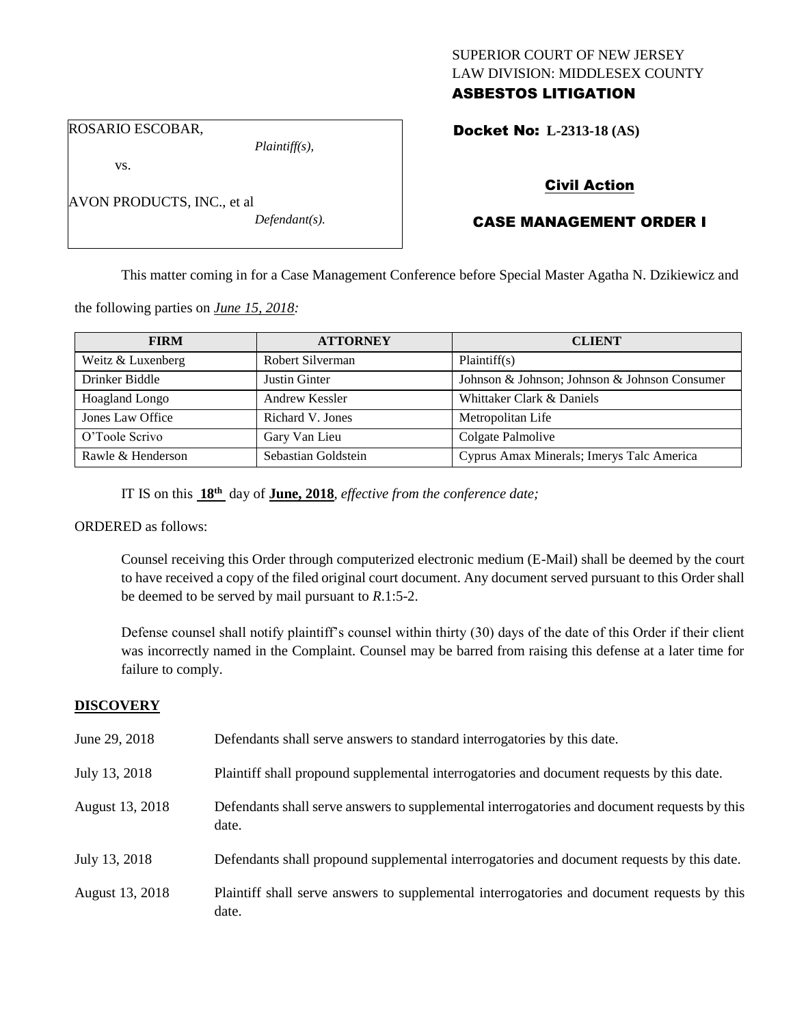## SUPERIOR COURT OF NEW JERSEY LAW DIVISION: MIDDLESEX COUNTY ASBESTOS LITIGATION

Docket No: **L-2313-18 (AS)** 

ROSARIO ESCOBAR,

AVON PRODUCTS, INC., et al

vs.

*Plaintiff(s),*

*Defendant(s).*

Civil Action

# CASE MANAGEMENT ORDER I

This matter coming in for a Case Management Conference before Special Master Agatha N. Dzikiewicz and

the following parties on *June 15, 2018:*

| <b>FIRM</b>       | <b>ATTORNEY</b>     | <b>CLIENT</b>                                 |
|-------------------|---------------------|-----------------------------------------------|
| Weitz & Luxenberg | Robert Silverman    | Plaintiff(s)                                  |
| Drinker Biddle    | Justin Ginter       | Johnson & Johnson; Johnson & Johnson Consumer |
| Hoagland Longo    | Andrew Kessler      | Whittaker Clark & Daniels                     |
| Jones Law Office  | Richard V. Jones    | Metropolitan Life                             |
| O'Toole Scrivo    | Gary Van Lieu       | Colgate Palmolive                             |
| Rawle & Henderson | Sebastian Goldstein | Cyprus Amax Minerals; Imerys Talc America     |

IT IS on this **18th** day of **June, 2018**, *effective from the conference date;*

ORDERED as follows:

Counsel receiving this Order through computerized electronic medium (E-Mail) shall be deemed by the court to have received a copy of the filed original court document. Any document served pursuant to this Order shall be deemed to be served by mail pursuant to *R*.1:5-2.

Defense counsel shall notify plaintiff's counsel within thirty (30) days of the date of this Order if their client was incorrectly named in the Complaint. Counsel may be barred from raising this defense at a later time for failure to comply.

## **DISCOVERY**

| June 29, 2018   | Defendants shall serve answers to standard interrogatories by this date.                              |
|-----------------|-------------------------------------------------------------------------------------------------------|
| July 13, 2018   | Plaintiff shall propound supplemental interrogatories and document requests by this date.             |
| August 13, 2018 | Defendants shall serve answers to supplemental interrogatories and document requests by this<br>date. |
| July 13, 2018   | Defendants shall propound supplemental interrogatories and document requests by this date.            |
| August 13, 2018 | Plaintiff shall serve answers to supplemental interrogatories and document requests by this<br>date.  |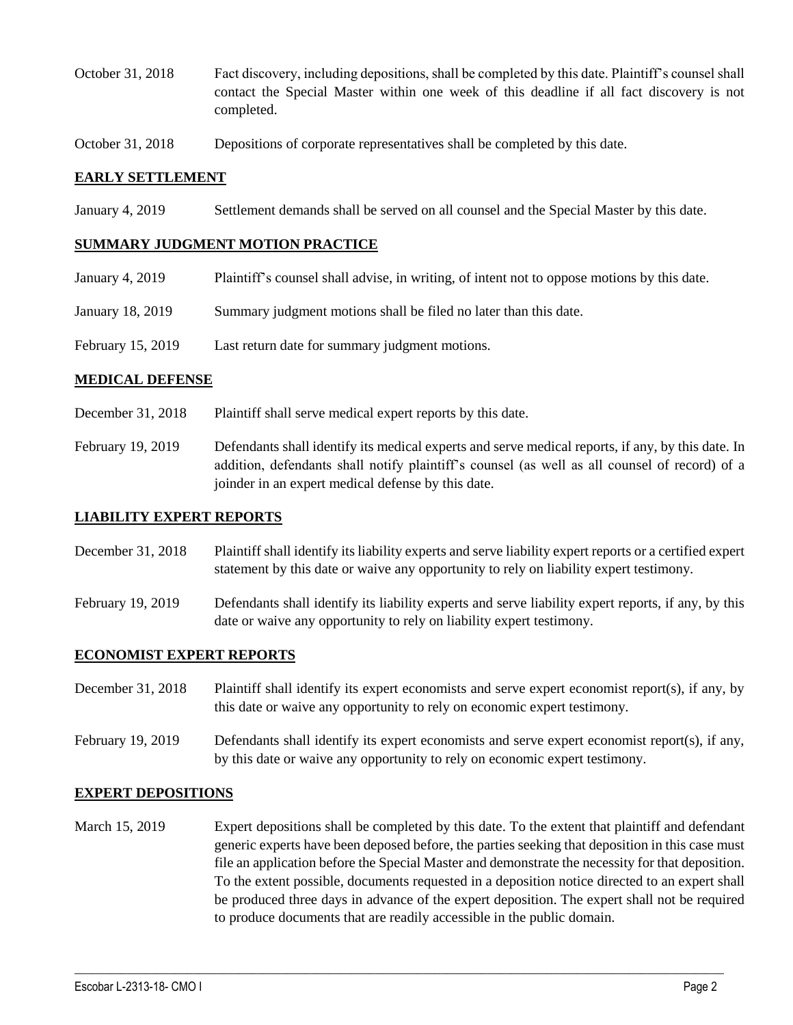- October 31, 2018 Fact discovery, including depositions, shall be completed by this date. Plaintiff's counsel shall contact the Special Master within one week of this deadline if all fact discovery is not completed.
- October 31, 2018 Depositions of corporate representatives shall be completed by this date.

#### **EARLY SETTLEMENT**

January 4, 2019 Settlement demands shall be served on all counsel and the Special Master by this date.

#### **SUMMARY JUDGMENT MOTION PRACTICE**

- January 4, 2019 Plaintiff's counsel shall advise, in writing, of intent not to oppose motions by this date.
- January 18, 2019 Summary judgment motions shall be filed no later than this date.
- February 15, 2019 Last return date for summary judgment motions.

#### **MEDICAL DEFENSE**

- December 31, 2018 Plaintiff shall serve medical expert reports by this date.
- February 19, 2019 Defendants shall identify its medical experts and serve medical reports, if any, by this date. In addition, defendants shall notify plaintiff's counsel (as well as all counsel of record) of a joinder in an expert medical defense by this date.

#### **LIABILITY EXPERT REPORTS**

- December 31, 2018 Plaintiff shall identify its liability experts and serve liability expert reports or a certified expert statement by this date or waive any opportunity to rely on liability expert testimony.
- February 19, 2019 Defendants shall identify its liability experts and serve liability expert reports, if any, by this date or waive any opportunity to rely on liability expert testimony.

## **ECONOMIST EXPERT REPORTS**

- December 31, 2018 Plaintiff shall identify its expert economists and serve expert economist report(s), if any, by this date or waive any opportunity to rely on economic expert testimony.
- February 19, 2019 Defendants shall identify its expert economists and serve expert economist report(s), if any, by this date or waive any opportunity to rely on economic expert testimony.

## **EXPERT DEPOSITIONS**

March 15, 2019 Expert depositions shall be completed by this date. To the extent that plaintiff and defendant generic experts have been deposed before, the parties seeking that deposition in this case must file an application before the Special Master and demonstrate the necessity for that deposition. To the extent possible, documents requested in a deposition notice directed to an expert shall be produced three days in advance of the expert deposition. The expert shall not be required to produce documents that are readily accessible in the public domain.

 $\_$  ,  $\_$  ,  $\_$  ,  $\_$  ,  $\_$  ,  $\_$  ,  $\_$  ,  $\_$  ,  $\_$  ,  $\_$  ,  $\_$  ,  $\_$  ,  $\_$  ,  $\_$  ,  $\_$  ,  $\_$  ,  $\_$  ,  $\_$  ,  $\_$  ,  $\_$  ,  $\_$  ,  $\_$  ,  $\_$  ,  $\_$  ,  $\_$  ,  $\_$  ,  $\_$  ,  $\_$  ,  $\_$  ,  $\_$  ,  $\_$  ,  $\_$  ,  $\_$  ,  $\_$  ,  $\_$  ,  $\_$  ,  $\_$  ,